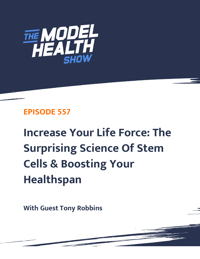

# **EPISODE 557**

**Increase Your Life Force: The Surprising Science Of Stem Cells & Boosting Your Healthspan**

**With Guest Tony Robbins**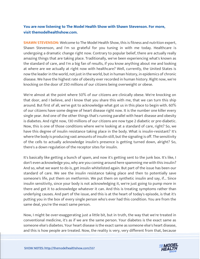# **You are now listening to The Model Health Show with Shawn Stevenson. For more, visit themodelhealthshow.com.**

**SHAWN STEVENSON:** Welcome to The Model Health Show, this is fitness and nutrition expert, Shawn Stevenson, and I'm so grateful for you tuning in with me today. Healthcare is undergoing a dramatic change right now. Contrary to popular belief, there are actually really amazing things that are taking place. Traditionally, we've been experiencing what's known as the standard of care, and I'm a big fan of results, if you know anything about me and looking at where are we actually at right now with healthcare? Well, currently, the United States is now the leader in the world, not just in the world, but in human history, in epidemics of chronic disease. We have the highest rate of obesity ever recorded in human history. Right now, we're knocking on the door of 250 millions of our citizens being overweight or obese.

We're almost at the point where 50% of our citizens are clinically obese. We're knocking on that door, and I believe, and I know that you share this with me, that we can turn this ship around. But first of all, we've got to acknowledge what got us in this place to begin with. 60% of our citizens have some degree of heart disease right now. It is the number one killer every single year. And one of the other things that's running parallel with heart disease and obesity is diabetes. And right now, 130 millions of our citizens are now type 2 diabetic or pre-diabetic. Now, this is one of those conditions where we're looking at a standard of care, right? So, we have this degree of insulin resistance taking place in the body. What is insulin-resistant? It's where the body is producing vast amounts of insulin still, but the signaling is off. The sensitivity of the cells to actually acknowledge insulin's presence is getting turned down, alright? So, there's a down regulation of the receptor sites for insulin.

It's basically like getting a bunch of spam, and now it's getting sent to the junk box. It's like, I don't even acknowledge you, why are you coming around here spamming me with this insulin? And so, what we want to do is, get insulin whitelisted again. But part of the issue has been our standard of care. We see the insulin resistance taking place and then to potentially save someone's life, put them on metformin. We put them on synthetic insulin and say, if... Since insulin sensitivity, since your body is not acknowledging it, we're just going to pump more in there and get it to acknowledge whatever it can. And this is treating symptoms rather than underlying causes. And part of the issue, and this is at the heart of today's episode, is that it's putting you in the box of every single person who's ever had this condition. You are from the same deal, you're the exact same person.

Now, I might be over-exaggerating just a little bit, but in truth, the way that we're treated in conventional medicine, it's as if we are the same person. Your diabetes is the exact same as someone else's diabetes. Your heart disease is the exact same as someone else's heart disease, [and this is how people are treated. Now, the reality is very, very different from that, because](https://themodelhealthshow.com/tony-robbins/) 

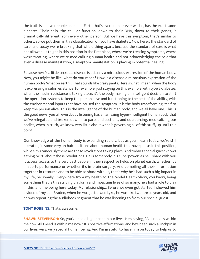the truth is, no two people on planet Earth that's ever been or ever will be, has the exact same diabetes. Their cells, the cellular function, down to their DNA, down to their genes, is dramatically different from every other person. But we have this symptom, that's similar to others, so we put them in this classification of, you have diabetes. Now here's the standard of care, and today we're breaking that whole thing apart, because the standard of care is what has allowed us to get in this position in the first place, where we're treating symptoms, where we're treating, where we're medicalizing human health and not acknowledging the role that even a disease manifestation, a symptom manifestation is playing in potential healing.

Because here's a little secret, a disease is actually a miraculous expression of the human body. Now, you might be like, what do you mean? How is a disease a miraculous expression of the human body? What on earth... That sounds like crazy pants. Here's what I mean, when the body is expressing insulin resistance, for example, just staying on this example with type 2 diabetes, when the insulin resistance is taking place, it's the body making an intelligent decision to shift the operation systems to keep the person alive and functioning to the best of the ability, with the environmental inputs that have caused the symptom. It is the body transforming itself to keep the person alive. This is the intelligence of the human body, and we all have one. This is the good news, you all, everybody listening has an amazing hyper-intelligent human body that we've relegated and broken down into parts and sections, and outsourcing, medicalizing our bodies, when in truth, we know very little about what is governing all of this stuff, up until this point.

Our knowledge of the human body is expanding rapidly, but as you'll learn today, we're still operating in some very archaic positions about human health that have put us in this position, while simultaneously there are these revolutions taking place. And today's special guest knows a thing or 20 about these revolutions. He is somebody, his superpower, as he'll share with you is access, access to the very best people in their respective fields on planet earth, whether it's in sports performance or whether it's in brain surgery. And compiling all their information together in resource and to be able to share with us, that's why he's had such a big impact in my life, personally. Everywhere from my health to The Model Health Show, you know, being something that is this striving platform and impacting lives of so many, he's had a role to play in this, and me being here today. My relationship... Before we even got started, I showed him a video of my son Braden, when he was just a wee tyke, he was like two, three years old, and he was repeating the audiobook segment that he was listening to from our special guest.

**TONY ROBBINS:** That's awesome.

**SHAWN STEVENSON:** So, you've had a big impact in our lives. He's saying, "All I need is within me now. All I need is within me now." It's positive affirmations, and he's been such a linchpin in our lives, very, very special human being. And I'm grateful to have him on today to help us to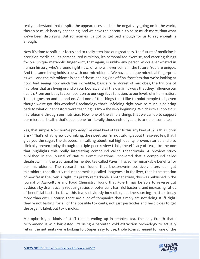really understand that despite the appearances, and all the negativity going on in the world, there's so much beauty happening. And we have the potential to be so much more, than what we've been displaying. But sometimes it's got to get bad enough for us to say enough is enough.

Now it's time to shift our focus and to really step into our greatness. The future of medicine is precision medicine. It's personalized nutrition, it's personalized exercise, and catering things for our unique metabolic fingerprint, that again, is unlike any person who's ever existed in human history, who's around right now, or who will ever come in the future. You are unique. And the same thing holds true with our microbiome. We have a unique microbial fingerprint as well. And the microbiome is one of those leading kind of final frontiers that we're looking at now. And seeing how much this incredible, basically rainforest of microbes, the trillions of microbes that are living in and on our bodies, and all the dynamic ways that they influence our health. From our body fat composition to our cognitive function, to our levels of inflammation. The list goes on and on and on. And one of the things that I like to point people to is, even though we've got this wonderful technology that's unfolding right now, so much is pointing back to what our ancestors were teaching us from the very beginning. Which is to support our microbiome through our nutrition. Now, one of the simple things that we can do to support our microbial health, that's been done for literally thousands of years, is to sip on some tea.

Yes, that simple. Now, you're probably like what kind of tea? Is this any kind of...? Is this Lipton Brisk? That's what I grew up drinking, the sweet tea. I'm not talking about the sweet tea, that'll give you the sugar, the diabetes. I'm talking about real high quality, proven, storied and also clinically proven today through multiple peer review trials, the efficacy of teas, like the one that highlights this really interesting compound called theabrownin. A preview study published in the journal of Nature Communications uncovered that a compound called theabrownin in the traditional fermented tea called Pu-erh, has some remarkable benefits for our microbiome. The research has found that theabrownin positively alters our gut microbiota, that directly reduces something called lipogenesis in the liver, that is the creation of new fat in the liver. Alright, it's pretty remarkable. Another study, this was published in the Journal of Agriculture and Food Chemistry, found that Pu-erh may be able to reverse gut dysbiosis by dramatically reducing ratios of potentially harmful bacteria, and increasing ratios of beneficial bacteria. Now, this tea is obviously incredible, but the sourcing matters today more than ever. Because there are a lot of companies that simply are not doing stuff right, they're not testing for all of the possible toxicants, not just pesticides and herbicides to get the organic label, but toxic molds.

Microplastics, all kinds of stuff that is ending up in people's tea. The only Pu-erh that I recommend is wild harvested, it's using a patented cold extraction technology to actually retain the nutrients we're looking for. Super easy to use, triple toxin screened for one of the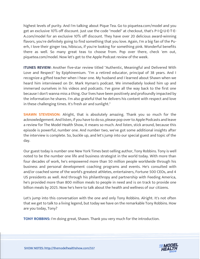highest levels of purity. And I'm talking about Pique Tea. Go to piquetea.com/model and you get an exclusive 10% off discount. Just use the code "model" at checkout, that's P-I-Q-U-E-T-E-A.com/model for an exclusive 10% off discount. They have over 20 delicious award-winning flavors, you're definitely going to find something that you love. Again, I'm a big fan of the Puerh, I love their ginger tea, hibiscus, if you're looking for something pink. Wonderful benefits there as well. So many great teas to choose from. Pop over there, check 'em out, piquetea.com/model. Now let's get to the Apple Podcast review of the week.

**ITUNES REVIEW:** Another five-star review titled "Authentic, Meaningful and Delivered With Love and Respect" by Epiphinemium. "I'm a retired educator, principal of 38 years. And I recognize a gifted teacher when I hear one. My husband and I learned about Shawn when we heard him interviewed on Dr. Mark Hyman's podcast. We immediately looked him up and immersed ourselves in his videos and podcasts. I've gone all the way back to the first one because I don't wanna miss a thing. Our lives have been positively and profoundly impacted by the information he shares. I'm also grateful that he delivers his content with respect and love in these challenging times. It's fresh air and sunlight."

**SHAWN STEVENSON:** Alright, that is absolutely amazing. Thank you so much for the acknowledgement. And listen, if you have to do so, please pop over to Apple Podcasts and leave a review for The Model Health Show, it means so much. And listen, stick around, because this episode is powerful, number one. And number two, we've got some additional insights after the interview is complete. So, buckle up, and let's jump into our special guest and topic of the day.

Our guest today is number one New York Times best-selling author, Tony Robbins. Tony is well noted to be the number one life and business strategist in the world today. With more than four decades of work, he's empowered more than 50 million people worldwide through his business and personal development coaching programs and events. He's consulted with and/or coached some of the world's greatest athletes, entertainers, Fortune 500 CEOs, and 4 US presidents as well. And through his philanthropy and partnership with Feeding America, he's provided more than 800 million meals to people in need and is on track to provide one billion meals by 2025. Now he's here to talk about the health and wellness of our citizens.

Let's jump into this conversation with the one and only Tony Robbins. Alright. It's not often that we get to talk to a living legend, but today we have on the remarkable Tony Robbins. How are you today, Tony?

**TONY ROBBINS:** I'm doing great, Shawn. Thank you very much for the introduction.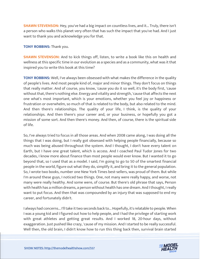**SHAWN STEVENSON:** Hey, you've had a big impact on countless lives, and it... Truly, there isn't a person who walks this planet very often that has such the impact that you've had. And I just want to thank you and acknowledge you for that.

**TONY ROBBINS:** Thank you.

**SHAWN STEVENSON:** And to kick things off, listen, to write a book like this on health and wellness at this specific time in our evolution as a species and as a community, what was it that inspired you to write this book at this time?

**TONY ROBBINS:** Well, I've always been obsessed with what makes the difference in the quality of people's lives. And most people kind of, major and minor things. They don't focus on things that really matter. And of course, you know, 'cause you do it so well, it's the body first, 'cause without that, there's nothing else. Energy and vitality and strength, 'cause that affects the next one what's most important, which is your emotions, whether you feel joy or happiness or frustration or overwhelm, so much of that is related to the body, but also related to the mind. And then there's relationships. The quality of your life, I think, is the quality of your relationships. And then there's your career and, or your business, or hopefully you got a mission of some sort. And then there's money. And then, of course, there is the spiritual side of life.

So, I've always tried to focus in all those areas. And when 2008 came along, I was doing all the things that I was doing, but I really got obsessed with helping people financially, because so much was being abused throughout the system. And I thought, I don't have every talent on Earth, but I have one great talent, which is access. And I coached Paul Tudor Jones for two decades, I know more about finance than most people would ever know. But I wanted it to go beyond that, so I used that as a model. I said, I'm going to go to 50 of the smartest financial people in the world, figure out what they do, simplify it, and bring it to the general population. So, I wrote two books, number one New York Times best-sellers, was proud of them. But while I'm around these guys, I noticed two things. One, not many were really happy, and worse, not many were really healthy. And some were, of course. But there's old phrase that says, Person with health has a million dreams, a person without health has one dream. And I thought, I really want to put focus. And then that was compounded by an injury that was supposed to end my career, and fortunately didn't.

I always had concerns... I'll take it two seconds back to... Hopefully, it's relatable to people. When I was a young kid and I figured out how to help people, and I had the privilege of starting work with great athletes and getting great results. And I worked 18, 20-hour days, without exaggeration. Just pushed like crazy, 'cause of my mission. And I started to be really successful. Well then, the old brain, I didn't know how to run this thing back then, survival brain started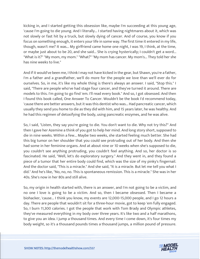kicking in, and I started getting this obsession like, maybe I'm succeeding at this young age, 'cause I'm going to die young. And I literally... I started having nightmares about it, which was not slowly or fast hit by a truck, but slowly dying of cancer. And of course, you know if you focus on something enough, it enters your life in some way. The first time it entered in my life, though, wasn't me? It was... My girlfriend came home one night, I was 19, I think, at the time, or maybe just about to be 20, and she said... She is crying hysterically; I couldn't get a word... "What is it?" "My mom, my mom." "What?" "My mom has cancer. My mom's... They told her she has nine weeks to live."

And if it would've been me, I think I may not have kicked in the gear, but Shawn, you're a father, I'm a father and a grandfather, we'll do more for the people we love than we'll ever do for ourselves. So, in me, it's like my whole thing is there's always an answer. I said, "Stop this." I said, "There are people who've had stage four cancer, and they've turned it around. There are models to this. I'm going to go find 'em. I'll read every book." And so, I got obsessed. And then I found this book called, One Answer To Cancer. Wouldn't be the book I'd recommend today, 'cause there are better answers, but it was this dentist who was... Had pancreatic cancer, which usually they send you home to die as they did with him, and 15 years later, he was healthy. And he had this regimen of detoxifying the body, using pancreatic enzymes, and he was alive.

So, I said, "Listen, they say you're going to die. You don't want to die. Why not try this?" And then I gave her Azemine a think of you got to help her mind. And long story short, supposed to die in nine weeks. Within a few... Maybe two weeks, she started feeling much better. She had this big tumor on her shoulder that you could see protruding out of her body. And then she had some in her feminine organs. And at about nine or 10 weeks when she's supposed to die, you couldn't see anything protruding, you couldn't feel anything. And so, her doctor is so fascinated. He said, "Well, let's do exploratory surgery." And they went in, and they found a piece of a tumor that her entire body could find, which was the size of my pinky's fingernail. And the doctor said, "This is a miracle." And she said, "It is a miracle. But let me tell you what I did." And he's like, "No, no, no. This is spontaneous remission. This is a miracle." She was in her 40s. She's now in her 80s and still alive.

So, my origin in health started with, there is an answer, and I'm not going to be a victim, and no one I love is going to be a victim. And so, then I became obsessed. Then I became a biohacker, 'cause... I think you know, my events are 12,000-15,000 people, and I go 12 hours a day. There are people that wouldn't sit for a three-hour movie, got to keep 'em fully engaged. So, I burn 11,300 calories. I got the people that work with Tom Brady and Olympic athletes, they've measured everything in my body over three years. It's like two and a half marathons, to give you an idea. I jump a thousand times. And every time I come down, it's four times my body weight, so it's a thousand pounds times a thousand jumps, a million pound of pressure.

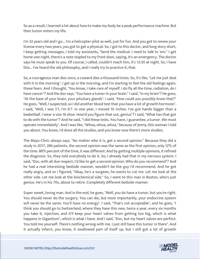So as a result, I learned a lot about how to make my body be a peak performance machine. But then tumor enters my life.

I'm 32 years old and I go... I'm a helicopter pilot as well, just for fun. And you got to renew your license every two years, you got to get a physical. So, I got to this doctor, and long story short, I keep getting messages, I told my assistants, "Send the medical. I need to talk to 'em." I get home one night, there's a note stapled to my front door, saying, It's an emergency. The doctor says he must speak to you. Of course, I called, couldn't reach him, it's 12:30 at night. So, I have this... I've heard the old philosophy, and I really try to practice it, that.

So, a courageous man dies once, a coward dies a thousand times. So, it's like, "Let me just deal with it in the morning". I get up in the morning, and I'm starting to feel the old feelings again, those fears. And I thought, "You know, I take care of myself. I do fly all the time, radiation, do I have cancer"? And the doc says, "You have a tumor in your brain." I said, "In my brain"? He goes, "At the base of your brain, your pituitary glands". I said, "How could you possibly know that?" He goes, "Well, I suspected, so I did another blood test that you have a lot of growth hormone". I said, "Well, I was 5'1, I'm 6'7. In one year, I moved 10 inches. I've got hands bigger than a basketball. I wear a size 16 shoe. How'd you figure that out, genius"? I said, "What has that got to do with the tumor"? And he said, "I did these tests. You have, I guarantee, a tumor. We must operate immediately". And I was like, "Whoa, whoa, whoa," because of Jenny, this woman I told you about. You know, I'd done all the studies, and you know now there's more studies.

The Mayo Clinic always says, "No matter who it is, get a second opinion." Because they did a study in 2017, 286 patients, the second opinion was the same as the first opinion, only 12% of the time. 88% percent of the time, it was different. And by getting multiple opinions, it refined the diagnosis. So, they told everybody to do it. So, I already had that in my nervous system. I said, "Doc, with all due respect, I'd like to get a second opinion. Who do you recommend"? And he had a real interesting bedside manner, wouldn't be the guy I'd recommend. And he got really angry, and so I figured, "Okay, he's a surgeon, he wants to cut me. Let me look at the other side. Let me look at the biochemical side." So, I went to this man in Boston, who's just genius. He's in his 70s, about to retire. Completely different bedside manner.

Super sweet, loving man. And in the end, he goes, "Well, you do have a tumor, but you're right. You should never do the surgery. You can die, but most importantly, your endocrine system will never be the same. You'll have no energy". I said, "That's not acceptable", and he goes, "I think you should go to Switzerland, where they have this new, twice a year, every six months you take it, injection, and it'll keep your heart valves from getting too big, which is what happens in Gigantism", which is what I have. And I said, "Doc, but my heart valves are perfect. You told me yourself. There's nothing wrong with me. I just still have this tumor in there". And it actually infarct, you know, it swallowed part of itself up, but I still got a lot of growth

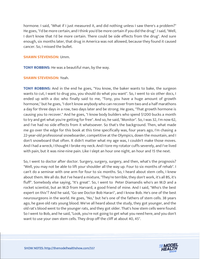hormone. I said, "What if I just measured it, and did nothing unless I saw there's a problem?" He goes, "I'd be more certain, and I think you'd be more certain if you did the drug". I said, "Well, I don't know that I'd be more certain. There could be side effects from the drug". And sure enough, six months later, that drug in America was not allowed, because they found it caused cancer. So, I missed the bullet.

#### **SHAWN STEVENSON:** Umm.

**TONY ROBBINS:** He was a beautiful man, by the way.

#### **SHAWN STEVENSON:** Yeah.

**TONY ROBBINS:** And in the end he goes, "You know, the baker wants to bake, the surgeon wants to cut, I want to drug you, you should do what you want". So, I went to six other docs, I ended up with a doc who finally said to me, "Tony, you have a huge amount of growth hormone," but he goes, "I don't know anybody who can recover from two and a half marathons a day for three days in a row, two days later and be strong. He goes, "That growth hormone is causing you to recover." And he goes, "I know body builders who spend \$1200 bucks a month to try and get what you're getting for free". And so, he said, "Monitor". So, I was 32, I'm now 62, and I've had no side effects from it whatsoever. So that's the background. Then, what made me go over the edge for this book at this time specifically was, four years ago, I'm chasing a 22-year-old professional snowboarder, competitive at the Olympics, down the mountain, and I don't snowboard that often. It didn't matter what my age was, I couldn't make those moves. And I had a wreck, I thought I broke my neck. And I tore my rotator cuffs severely, and I've lived with pain, but it was nine-nine pain. Like I slept an hour one night, an hour and 15 the next.

So, I went to doctor after doctor. Surgery, surgery, surgery, and then, what's the prognosis? "Well, you may not be able to lift your shoulder all the way up. Four to six months of rehab". I can't do a seminar with one arm for four to six months. So, I heard about stem cells, I knew about them. We all do. But I've heard a mixture, "They're terrible, they don't work, it's all BS, it's fluff". Somebody else saying, "It's great". So, I went to Peter Diamandis who's an M.D and a rocket scientist, but an M.D from Harvard, a good friend of mine. And I said, "Who's the best expert on this"? And he said, "Go see Doctor Bob Harari", and I know Bob. He's one of the best neurosurgeons in the world. He goes, "No," but he's one of the fathers of stem cells. 38 years ago, he gave old rats young blood. We've all heard about the study, they got younger, and the old rat's blood went to the younger rats, and they got older. That's how stem cells were found. So I went to Bob, and he said, "Look, you're not going to get what you need here, and you don't want to use your own stem cells. They drop off the cliff at about 40, 45".

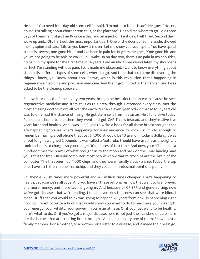He said, "You need four-day-old stem cells". I said, "I'm not into fetal tissue". He goes, "No, no, no, no. I'm talking about chords stem cells, or the placenta". He told me where to go. I did three days of treatment of just an IV once a day, and an injection. First day, I felt tired. Second day, I woke up and... Oh, I left out the most important part. One of the docs pulled me aside, showed me my spine and said, "Life as you know it is over. Let me show you your spine. You have spinal stenosis, severe, one good hit... " and I've been in pain for 14 years. He goes, "One good hit, and you're not going to be able to walk". So, I wake up on day two, there's no pain in my shoulder, no pain in my spine for the first time in 14 years. I did an MRI three weeks later, my shoulder's perfect. I'm standing without pain. So, it made me obsessed. I want to know everything about stem cells, different types of stem cells, where to go. And then that led to me discovering the things I know, you know about too, Shawn, which is this revolution that's happening in regenerative medicine and precision medicine. And then I got invited to the Vatican, and I was asked to be the cleanup speaker.

Believe it or not, the Pope, every two years, brings the best doctors on earth, 'cause he sees regenerative medicine and stem cells as this breakthrough. I attended every class, met the most amazing doctors from all over the earth. Met an eleven-year-old kid that at four years old was told he had 6% chance of living. He got stem cells from his sister. He's fully alive today. People sent home to die, then they went and got CAR T cells instead, and they're alive five years later and healthy. And I was like, "I got to write a book for all these breakthroughs that are happening," 'cause what's happening for your audience to know, is I'm old enough to remember having a cell phone that cost \$4,000, it would be 10 grand in today's dollars. It was a foot long, it weighed 2 pounds. It was called a Motorola. Should have used it as a weight. It took six hours to charge, so you can get 30 minutes of talk time. And now, your iPhone has a hundred times the power of what brought us to the moon and back on the lunar landing, and you get it for free. On your computer, most people know that microchips are the brain of the computer. The first ones had 4,000 chips, and they were literally a buck a chip. Today, the top ones have six trillion in one microchip, and they cost an infinitesimal point of a penny.

So, they're 6,500 times more powerful and 4.2 million times cheaper. That's happening to health, because we're all code. And you have all these billionaires now that want to live forever, and more money, and more tech is going in. And because of CRISPR and gene editing, now we've got diseases that we're ending. I mean, even kids that now can see, that were blind. I mean, stuff that you would think was going to happen 20 years from now, is happening right now. So, I want to write a book that would show you what to do to maximize your strength, your energy, your vitality, your power if you're an athlete. Or if you just want to be healthy, here's what to do. Or if you've got a major disease, here is not just the standard of care, here are the heroes that are creating breakthroughs. And almost every one of them, Shawn, lost a family member, lost a mother, or a brother, or a sister to a disease, and it made their brain go,

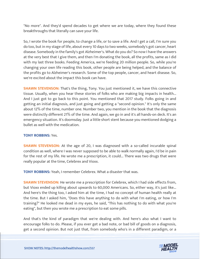"No more". And they'd spend decades to get where we are today, where they found these breakthroughs that literally can save your life.

So, I wrote the book for people, to change a life, or to save a life. And I get a call, I'm sure you do too, but in my stage of life, about every 10 days to two weeks, somebody's got cancer, heart disease. Somebody in the family's got Alzheimer's. What do you do? So now I have the answers at the very best that I give them, and then I'm donating the book, all the profits, same as I did with my last three books. Feeding America, we're feeding 20 million people. So, while you're changing your own life reading this book, other people are being helped, and the balance of the profits go to Alzheimer's research. Some of the top people, cancer, and heart disease. So, we're excited about the impact this book can have.

**SHAWN STEVENSON:** That's the thing, Tony. You just mentioned it, we have this connective tissue. Usually, when you hear these stories of folks who are making big impacts in health... And I just got to go back to this point. You mentioned that 2017 study. Folks going in and getting an initial diagnosis, and just going and getting a "second opinion." It's only the same about 12% of the time, number one. Number two, you mention in the book that the diagnosis were distinctly different 21% of the time. And again, we go in and it's all hands-on deck. It's an emergency situation. It's doomsday. Just a little short stent because you mentioned dodging a bullet as well with the medication.

#### **TONY ROBBINS:** Yes.

**SHAWN STEVENSON:** At the age of 20, I was diagnosed with a so-called incurable spinal condition as well, where I was never supposed to be able to walk normally again, I'd be in pain for the rest of my life. He wrote me a prescription, it could... There was two drugs that were really popular at the time, Celebrex and Vioxx.

**TONY ROBBINS:** Yeah, I remember Celebrex. What a disaster that was.

**SHAWN STEVENSON:** He wrote me a prescription for Celebrex, which I had side effects from, but Vioxx ended up killing about upwards to 60,000 Americans. So, either way, it's just like... And here's the thing too, I asked him at the time, I had no concept of human health really at the time. But I asked him, "Does this have anything to do with what I'm eating, or how I'm training?" He looked me dead in my eyes, he said, "This has nothing to do with what you're eating", but then you wrote me a prescription to eat some pills.

And that's the kind of paradigm that we're dealing with. And here's also what I want to encourage folks to do. Please, if you ever get a bad note, or bad bill of goods on a diagnosis, get a second opinion. But not just that, from somebody who's in a different paradigm, or a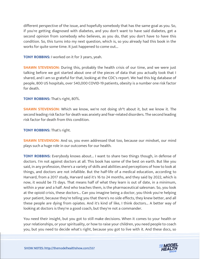different perspective of the issue, and hopefully somebody that has the same goal as you. So, if you're getting diagnosed with diabetes, and you don't want to have said diabetes, get a second opinion from somebody who believes, as you do, that you don't have to have this condition. So, this turns into my next question, which is, so you already had this book in the works for quite some time. It just happened to come out...

**TONY ROBBINS:** I worked on it for 3 years, yeah.

**SHAWN STEVENSON:** During this, probably the health crisis of our time, and we were just talking before we got started about one of the pieces of data that you actually took that I shared, and I am so grateful for that, looking at the CDC's report. We had this big database of people, 800 US hospitals, over 540,000 COVID-19 patients, obesity is a number one risk factor for death.

## **TONY ROBBINS:** That's right, 80%.

**SHAWN STEVENSON:** Which we know, we're not doing sh\*t about it, but we know it. The second leading risk factor for death was anxiety and fear-related disorders. The second leading risk factor for death from this condition.

### **TONY ROBBINS:** That's right.

**SHAWN STEVENSON:** And so, you even addressed that too, because our mindset, our mind plays such a huge role in our outcomes for our health.

**TONY ROBBINS:** Everybody knows about... I want to share two things though, in defense of doctors. I'm not against doctors at all. This book has some of the best on earth. But like you said, in any profession, there's a variety of skills and abilities and perceptions of how to look at things, and doctors are not infallible. But the half-life of a medical education, according to Harvard, from a 2017 study, Harvard said it's 16 to 24 months, and they said by 2022, which is now, it would be 73 days. That means half of what they learn is out of date, in a minimum, within a year and a half. And who teaches them, is the pharmaceutical salesman. So, you look at the opioid crisis, these doctors... Can you imagine being a doctor, you think you're helping your patient, because they're telling you that there's no side effects, they knew better, and all these people are dying from opiates. And it's kind of like, I think doctors... A better way of looking at doctors is they're a good coach, but they're not a commander.

You need their insight, but you got to still make decisions. When it comes to your health or your relationships, or your spirituality, or how to raise your children, you need people to coach you, but you need to decide what's right, because you got to live with it. And these docs, so

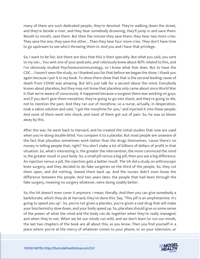many of them are such dedicated people, they're devoted. They're walking down the street, and they're beside a river, and they hear somebody drowning, they'll jump in and save them. Mouth to mouth, save them. But then the minute they save them, they hear two more cries. They save the one, they save the other... Then they hear four more cries. They don't have time to go upstream to see who's throwing them in. And you and I have that privilege.

So, I want to be fair, but there are docs that this is their specialty. But what you said, you sent to my son... You sent one of your podcasts, and I obviously knew about 80% related to this, and I've obviously studied Psychoneuroimmunology, so I knew what fear does. But to have the CDC... I haven't seen the study, so I thanked you for that before we began the show. I thank you again because I put it in my book. To show them show that that is the second leading cause of death from COVID was amazing. But let's just talk for a second about the mind. Everybody knows about placebos, but they may not know that placebos only came about since World War II, that we're aware of consciously. It happened because a surgeon there was working on guys, and if you don't give them morphine, they're going to go into shock, and they're going to die, not to mention the pain. And they ran out of morphine, so a nurse, actually, in desperation, took a saline solution and said, "I got the morphine for you," and injected it into these people. And none of them went into shock, and most of them got out of pain. So, he was so blown away by this.

After the war, he went back to Harvard, and he created the initial studies that now are used when you're doing double-blind. You compare it to a placebo. But most people are unaware of the fact that placebos sometimes work better than the drugs themselves, 'cause there's no money in telling people that, right? You don't make a lot of billions of dollars of profit in that situation. So, what's interesting is, the greater the intervention, the more convinced the mind is, the greater result in your body. So, a small pill versus a big pill, then you see a big difference. An injection versus a pill, the injection gets a better result. The VA did a study on arthroscopic knee surgery, and they decided to do fake surgeries on the third of the people. So, they cut them open, and did nothing. Sewed them back up. And the nurses didn't even know the difference between the people. And two years later, the people that had been through the fake surgery, meaning no surgery whatever, were doing sizably better.

So, the VA doesn't even cover it anymore. I mean, literally. And then you can give somebody a barbiturate, which they do at Harvard, they've done this. Say, "This pill is an amphetamine. It's going to speed you up". So, you're not given a placebo, you're given a real drug that will make your biochemistry slow down, and your body speed up. So, placebos should give us some sense of the power of what the mind and the body can do together when they're really managed, and when they're not. When we let our minds run wild, and we don't learn to run our minds, the last two chapters of the book are all about this, as you know. Then you find yourself in a place where you're at the mercy of whatever comes to your phone, or on your television, or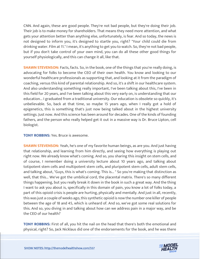CNN. And again, these are good people. They're not bad people, but they're doing their job. Their job is to make money for shareholders. That means they need more attention, and what gets your attention better than anything else, unfortunately, is fear. And so today, the news is not designed to inform you, it's designed to startle you, right? "Your child could die from drinking water. Film at 11." I mean, it's anything to get you to watch. So, they're not bad people, but if you don't take control of your own mind, you can do all these other good things for yourself physiologically, and this can change it all, like that.

**SHAWN STEVENSON:** Facts, facts. So, in the book, one of the things that you're really doing, is advocating for folks to become the CEO of their own health. You know and looking to our wonderful healthcare professionals as supporting that, and looking at it from the paradigm of coaching, versus this kind of parental relationship. And so, it's a shift in our healthcare system. And also understanding something really important, I've been talking about this, I've been in this field for 20 years, and I've been talking about this very early on, is understanding that our education... I graduated from a traditional university. Our education is obsolete so quickly, it's unbelievable. So, back at that time, so maybe 15 years ago, when I really got a hold of epigenetics, this is something that's just now being talked about in the highest university settings. Just now. And this science has been around for decades. One of the kinds of founding fathers, and the person who really helped get it out in a massive way is Dr. Bruce Lipton, cell biologist.

**TONY ROBBINS:** Yes. Bruce is awesome.

**SHAWN STEVENSON:** Yeah, he's one of my favorite human beings, as are you. And just having that relationship, and learning from him directly, and seeing how everything is playing out right now. We already know what's coming. And so, you sharing this insight on stem cells, and of course, I remember doing a university lecture about 10 years ago, and talking about totipotent stem cells and multipotent stem cells, and pluripotent stem cells, adult stem cells, and talking about, "Guys, this is what's coming. This is... " So you're making that distinction as well, that this... We've got the umbilical cord, the placental matrix. There's so many different things happening, but you really break it down in the book in such a great way. And the thing I want to ask you about is, specifically in this domain of pain, you know a lot of folks today, a part of this opioid crisis is people are hurting, physically and mentally. And just in all, recently, this was just a couple of weeks ago, this synthetic opioid is now the number one killer of people between the age of 18 and 45, which is unheard of. And so, we've got some real solutions for this. And so, you diving in and talking about how can we address pain in a major way, and be the CEO of our health?

**TONY ROBBINS:** First of all, you hit the nail on the head that there's both the emotional and physical, right? So, Jack Nicklaus did one of the endorsements for the book, and he was there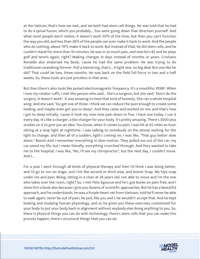at the Vatican, that's how we met, and we both had stem cell things. He was told that he had to do a spinal fusion, which you probably... You were going down that direction yourself. And what most people don't realize, it doesn't work 50% of the time, but then you can't function the way you did, and less than 26% of the people can ever make it back to work. And the people who do nothing, about 76% make it back to work. But instead of that, he did stem cells, and he couldn't stand for more than 10 minutes, he was in so much pain, and now he's 82 and he plays golf and tennis again, right? Making changes in days instead of months or years. Cristiano Ronaldo also endorsed my book, 'cause he had the same problem. He was trying to do traditional caretaking forever. Pull a hamstring, that's... A light one, no big deal. But one like he did? That could be two, three months. He was back on the field full force in two and a half weeks. So, these tools are just priceless in that area.

But then there's also tools like pulsed electromagnetic frequency. It's a mouthful, PEMF. When I tore my rotator cuffs, I met this person who said... She's a surgeon, but she said, "Don't do the surgery. It doesn't work". It was amazing to have that kind of honesty. She ran a whole hospital wing. And she said, "Go get one of these. I think we can reduce the pain enough to create some healing, and maybe even get you to sleep". And they came and worked on me, and that's how I got to sleep initially, 'cause it took my nine-nine pain down to five. I have one today. I use it every day. It's like a charger, a bio-charger for your body. It's pretty amazing. There's 3000 plus studies on it to give you an idea. You know, when it comes to pain, I was hit at 65 miles an hour sitting at a stop light at nighttime. I was talking to somebody on the phone waiting for the light to change, and then all of a sudden, light's coming on, I was like, "That guy better slow down." Boom! And I remember everything in slow motion. They pulled me out of the car, my car saved my life, but I mean literally, everything crunched through. And they wanted to take me to the hospital, I was like, "No, I'll see my chiropractor", but the next day, I couldn't move. And I...

For a year I went through all kinds of physical therapy and then I'd think I was doing better, and I'd go to run on stage, and I hit like second or third step, and boom! Snap. My hips snap under me and pain. Being, sitting in a chair at 26 years old, not able to move and I'm the one who takes over the room, right? So, I met Pete Egoscue and he's got books on pain free, and I show him a book also because I give you dozens of scientific approaches. But he has a beautiful approach, and he understands, he was a Purple Heart vet from Vietnam, told he'll never be able to walk again, never be out of pain, he just, like you and I, he wouldn't accept that. And he kept looking and studying human physiology, and so he gives you these exercises customized for your body to put your body back in alignment without anybody else doing anything to you. So, there is physical things you can do with technology, there's stem cells that you can make this process happen, there's structural things that you can do.

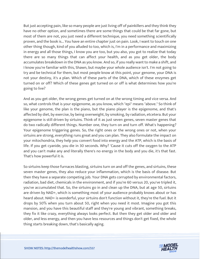But just accepting pain, like so many people are just living off of painkillers and they think they have no other option, and sometimes there are some things that could be that far gone, but most of them are not, you just need a different technique, you need something scientifically proven, and the book is... You have an entire chapter just on pain. Look, I want to touch on one other thing though, kind of you alluded to too, which is, I'm in a performance and maximizing in energy and all those things, I know you are too, but you also, you got to realize that today there are so many things that can affect your health, and as you get older, the body accumulates breakdown in the DNA as you know. And so, if you really want to make a shift, and I know you're familiar with this, Shawn, but maybe your whole audience isn't. I'm not going to try and be technical for them, but most people know at this point, your genome, your DNA is not your destiny, it's a plan. Which of these parts of the DNA, which of these enzymes get turned on or off? Which of these genes get turned on or off is what determines how you're going to live?

And as you get older, the wrong genes get turned on at the wrong timing and vice versa. And so, what controls that is your epigenome, as you know, which "epi" means "above." So think of like your genome, the plan is the piano, but the piano player is the epigenome, and that's affected by diet, by exercise, by being overweight, by smoking, by radiation, etcetera. But your epigenome is still driven by sirtuins. Think of it as just seven genes, seven master genes that do two radically different things. Number one, they turn on and turn off. What's happening? Your epigenome triggering genes. So, the right ones or the wrong ones or not, when your sirtuins are strong, everything runs great and you can plan. They also formulate the impact on your mitochondria, they help you convert food into energy and the ATP, which is the basis of life. If you get cyanide, you die in 30 seconds. Why? 'Cause it cuts off the oxygen to the ATP and you can't make any and literally there's no energy in the body and you die, it's that fast. That's how powerful it is.

So sirtuins keep those furnaces blasting, sirtuins turn on and off the genes, and sirtuins, these seven master genes, they also reduce your inflammation, which is the basis of disease. But then they have a separate competing job. Your DNA gets corrupted by environmental factors, radiation, bad diet, chemicals in the environment, and if you're 60 versus 20, you've tripled it, you've accumulated that. So, the sirtuins go in and clean up the DNA, but at age 50, sirtuins are driven by NAD+, which is something most of your audience probably knows about or has heard about. NAD+ is wonderful, your sirtuins don't function without it, they're the fuel. But it drops by 50% when you turn about 50, right when you need it most. Imagine you got this mansion, and you have this beautiful staff and they're young and vibrant, something breaks, they fix it like crazy, everything always looks perfect. But then they get older and older and older, and less energy, and then you have less resources and things don't get fixed, the whole thing starts breaking down, that's basically aging.

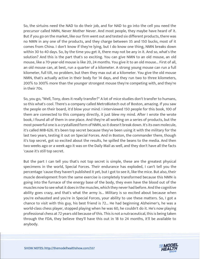So, the sirtuins need the NAD to do their job, and for NAD to go into the cell you need the precursor called NMN, Never Mother Never. And most people, they maybe have heard of it. But if you go on the market, like our firm went out and tested six different products, there was no NMN in any one of the products, and they charge between 35 and 150 bucks, most of it comes from China. I don't know if they're lying, but I do know one thing, NMN breaks down within 30 to 40 days. So, by the time you get it, there may not be any in it. And so, what's the solution? And this is the part that's so exciting. You can give NMN to an old mouse, an old mouse, like a 70-year-old mouse is like 20, 24 months. You give it to an old mouse... First of all, an old mouse can, at best, run a quarter of a kilometer. A strong young mouse can run a full kilometer, full tilt, no problem, but then they max out at a kilometer. You give the old mouse NMN, that's actually active in their body for 14 days, and they run two to three kilometers, 200% to 300% more than the younger strongest mouse they're competing with, and they're in their 70s.

So, you go, "Well, Tony, does it really transfer?" A lot of mice studies don't transfer to humans, so this what's cool. There's a company called MetroBiotech out of Boston, amazing. If you saw the people on their board, it'd blow your mind. I interviewed 150 people for this book, 100 of them are connected to this company directly, it just blew my mind. After I wrote the wrote book, I found all of them in one place. And they're all working on a series of products, but the most powerful one is a crystallized form of NMN, so it doesn't break down. It's its own molecule, it's called MIB-626. It's been top secret because they've been using it with the military for the last two years, testing it out on Special Forces. And in Boston, the commander there, though it's top secret, got so excited about the results, he spilled the beans to the media. And then two weeks ago or a week ago it was on the Daily Mail as well, and they don't have all the facts 'cause it's still top secret.

But the part I can tell you that's not top secret is simple, these are the greatest physical specimens in the world, Special Forces. Their endurance has exploded, I can't tell you the percentage 'cause they haven't published it yet, but I got to see it, like the mice. But also, their muscle development from the same exercise is completely transformed because this NMN is going into the furnace of the energy base of the body, they even have the blood out of the muscles now to see what it does in the muscles, which they never had before. And the cognitive ability goes crazy, and that's what the army is... Military is so excited about because when you're exhausted and you're in Special Forces, your ability to use these matters. So, I got a chance to visit with this guy, his best friend is 72... He had beginning Alzheimer's, he was a world-class chess player, stopped playing when he was 60, he couldn't do it. He's now playing professional chess at 72 years old because of this. This is not a nutraceutical, this is being taken through the FDA, they believe they'll have this out in 18 to 24 months, it'll be available to anybody.

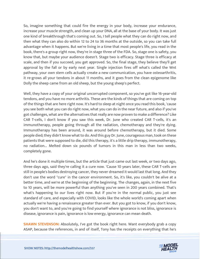So, imagine something that could fire the energy in your body, increase your endurance, increase your muscle strength, and clean up your DNA, all at the base of your body. It was just one kind of breakthrough that's coming out. So, I tell people what they can do right now, and then what they can also do within 12 to 24 to 36 months at the outside, so you can take full advantage when it happens. But we're living in a time that most people's life, you read in the book, there's a group right now, they're in stage three of the FDA. So, stage one is safety, you know that, but maybe your audience doesn't. Stage two is efficacy. Stage three is efficacy at scale, and then if you succeed, you get approved. So, the final stage, they believe they'll get approval by the fall or by early next year. Single injection fires off what's called the Wnt pathway, your own stem cells actually create a new communication, you have osteoarthritis, it re-grows all your tendons in about 11 months, and it goes from the clean epigenome like Dolly the sheep came from an old sheep, but the young sheep's perfect.

Well, they have a copy of your original uncorrupted component, so you've got like 16-year-old tendons, and you have no more arthritis. These are the kinds of things that are coming on top of the things that are here right now. It's hard to sleep at night once you read this book, 'cause you see both what you can do right now, what you can do in the near future, and also if you've got challenges, what are the alternatives that really are now proven to make a difference? Like CAR T-cells, I don't know if you saw this week, Dr. June who created CAR T-cells, it's an immunotherapy, people going through all the radiation, chemotherapy and they're dying. Immunotherapy has been around, it was around before chemotherapy, but it died. Some people died; they didn't know what to do. And this guy Dr. June, courageous man, took on these patients that were supposed to die, did this therapy, it's a little drip therapy, immunotherapy, no radiation... Melted down six pounds of tumors in this man in less than two weeks, completely gone.

And he's done it multiple times, but the article that just came out last week, or two days ago, three days ago, said they're calling it a cure now. 'Cause 10 years later, these CAR T-cells are still in people's bodies destroying cancer, they never dreamed it would last that long. And they don't use the word "cure" in the cancer environment. So, it's like, you couldn't be alive at a better time, and we're at the beginning of the beginning. The changes, again, in the next five to 10 years, will be more powerful than anything you've seen in 200 years combined. That's what's happening to our lives right now. But if you're in the normal public, you just see standard of care, and especially with COVID, looks like the whole world's coming apart when actually we're having a renaissance greater than ever. But you got to know, if you don't know, you don't want to, and you're going to find yourself where ignorance is not bliss, ignorance is disease, ignorance is pain, ignorance is low energy, ignorance can mean death.

**SHAWN STEVENSON:** Absolutely, I've got the book right here. Want everybody grab a copy ASAP, because the references, in and of itself, Tony has the receipts on everything that he's

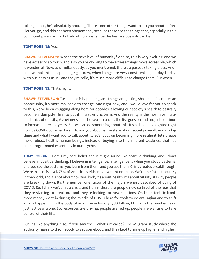talking about, he's absolutely amazing. There's one other thing I want to ask you about before I let you go, and this has been phenomenal, because these are the things that, especially in this community, we want to talk about how we can be the best we possibly can be.

#### **TONY ROBBINS:** Yes.

**SHAWN STEVENSON:** What's the next level of humanity? And so, this is very exciting, and we have access to so much, and also you're working to make these things more accessible, which is wonderful. Now, at simultaneously, as you mentioned, there's a paradox taking place. And I believe that this is happening right now, when things are very consistent in just day-to-day, with business as usual, and they're solid, it's much more difficult to change them. But when...

#### **TONY ROBBINS:** That's right.

**SHAWN STEVENSON:** Turbulence is happening, and things are getting shaken up, it creates an opportunity, it's more malleable to change. And right now, and I would love for you to speak to this, we've been chugging along here for decades, allowing our society's health to basically become a dumpster fire, to put it in a scientific term. And the reality is this, we have multiepidemics of obesity, Alzheimer's, heart disease, cancer, the list goes on and on, just continue to increase in recent years. But we can do something about this. It's all been highlighted right now by COVID, but what I want to ask you about is the state of our society overall. And my big thing and what I want you to talk about is, let's focus on becoming more resilient, let's create more robust, healthy human beings, instead of buying into this inherent weakness that has been programmed essentially in our psyche.

**TONY ROBBINS:** Here's my core belief and it might sound like positive thinking, and I don't believe in positive thinking, I believe in intelligence. Intelligence is when you study patterns, and you see the patterns, you learn from them, and you use them. Crisis creates breakthrough. We're in a crisis level. 75% of America is either overweight or obese. We're the fattest country in the world, and it's not about how you look, it's about health, it's about vitality, its why people are breaking down. It's the number one factor of the majors we just described of dying of COVID. So, I think we've hit a crisis, and I think there are people now so tired of the fear that they're starting to break out and they're looking for new solutions. On the scientific front, more money went in during the middle of COVID here for tools to do anti-aging and to shift what's happening in the body of any time in history, \$80 billion, I think, is the number I saw just last year alone. So, resources are driving, people are fed up, people are wanting to take control of their life.

But it's like anything else. If you saw the... What's it called? The Milgram study where the authority figure told somebody to zap somebody, and they kept turning up higher and higher,

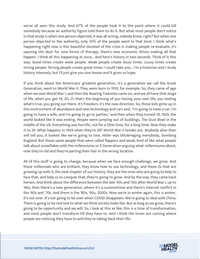we've all seen this study. And 67% of the people took it to the point where it could kill somebody because an authority figure told them to do it. But what most people don't notice in that study is when one person objected, it was all acting, nobody knew, right? But when one person objected to the authority, only 10% of the people went to that level. I think what's happening right now is this beautiful dovetail of the crisis is making people re-evaluate, it's opening the door for new forms of therapy, there's new economic drives making all that happen. I think all this happening at once... And here's history in two seconds. Think of it this way. Good times create weak people. Weak people create lousy times. Lousy times create strong people. Strong people create great times. I could take you... I'm a historian and I study history intensely, but I'll just give you one lesson and it gives us hope.

If you think about the Americans' greatest generation, it's a generation we call the Great Generation, went to World War II. They were born in 1910, for example. So, they came of age when we won World War I, and then the Roaring Twenties came on, and we all have that stage of life, when you get 19, 20, 21, that's the beginning of you having your own life, you testing what's true, you going out there. It's freedom, it's the new direction. So, these kids grew up in this environment of abundance and new technology and cars and, "I'm going to have a car, I'm going to have a wife, and I'm going to go to parties," and then when they turned 19, 1929, the world looked like it was ending. People were jumping out of buildings. The Dust Bowl in the middle of the US. Everything was horrific, not for a little time, for a long time. Now they make it to 29. What happens in 1939 when they're 29? World War II breaks out. Anybody alive then will tell you, it looked like we're going to lose, Hitler was blitzkrieging everybody, bombing England. But those same people that were called flappers and weak, kind of like what people talk about snowflakes with the millenniums or Z Generation arguing what millenniums about, now they're old and they're parting their hair in the wrong location.

All of this stuff is going to change, because when we face enough challenge, we grow. And these millennials who are brilliant, they know how to use technology, and these Zs that are growing up with it, the next chapter of our history, they are the ones who are going to help to face that, and help us to conquer that, they're going to grow. And by the way, they came back heroes. And think about the difference between the late '40s and '50s after World War I, up to '60s, then there's a new generation, where it's a summertime and there's internal conflict in the '60s and '70s. And there is the '80s, '90s, 2000s. Now we're in winter again, this is winter, it's not over. It's not going to be over when COVID disappears. We're going to deal with China. There is going to be real test to what we think society looks like. But as long as we grow, there's going to be opportunity and we will. So, I look at this as like, this is a time of transformation, and most people don't transform till they have to. And I think the times are coming where people are noticing they have to and they're taking back their life.

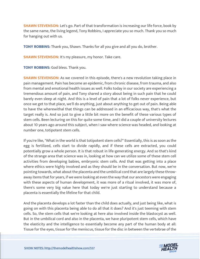**SHAWN STEVENSON:** Let's go. Part of that transformation is increasing our life force, book by the same name, the living legend, Tony Robbins, I appreciate you so much. Thank you so much for hanging out with us.

**TONY ROBBINS:** Thank you, Shawn. Thanks for all you give and all you do, brother.

**SHAWN STEVENSON:** It's my pleasure, my honor. Take care.

**TONY ROBBINS:** God bless. Thank you.

**SHAWN STEVENSON:** As we covered in this episode, there's a new revolution taking place in pain management. Pain has become an epidemic, from chronic disease, from trauma, and also from mental and emotional health issues as well. Folks today in our society are experiencing a tremendous amount of pain, and Tony shared a story about being in such pain that he could barely even sleep at night. And this is a level of pain that a lot of folks never experience, but once we get to that place, we'll do anything, just about anything to get out of pain. Being able to have the wherewithal that things can be addressed in an efficacious way, that's what the target really is. And so just to give a little bit more on the benefit of these various types of stem cells. Been lecturing on this for quite some time, and I did a couple of university lectures about 10 years ago around this subject, when I saw where science was headed, and looking at number one, totipotent stem cells.

If you're like, "What in the world is that totipotent stem cells?" Essentially, this is as soon as the egg is fertilized, cells start to divide rapidly, and if these cells are extracted, you could potentially grow a whole person. It is that robust in life-generating energy. And so that's kind of the strange area that science was in, looking at how can we utilize some of these stem cell activities from developing babies, embryonic stem cells. And that was getting into a place where ethics were highly involved and as they should be in the conversation. But now, we're pointing towards, what about the placenta and the umbilical cord that are largely these throwaway items that for years, if we were looking at even the way that our ancestors were engaging with these aspects of human development, it was more of a ritual involved, it was more of, there's some very big value here that today we're just starting to understand because a placenta is essentially the lifeline for that child.

And the placenta develops a lot faster than the child does actually, and just being like, what is going on with this placenta being able to do all that it does? And it's just teeming with stem cells. So, the stem cells that we're looking at here also involved inside the blastocyst as well. But in the umbilical cord and also in the placenta, we have pluripotent stem cells, which have the elasticity and the intelligence to essentially become any part of the human body at all: Tissue for the eyes, tissue for the meniscus, tissue for the disc in between the vertebrae of the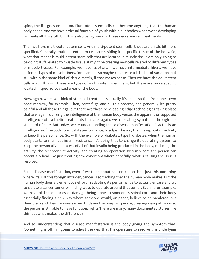spine, the list goes on and on. Pluripotent stem cells can become anything that the human body needs. And we have a virtual fountain of youth within our bodies when we're developing to create all this stuff, but this is also being found in these new stem cell treatments.

Then we have multi-potent stem cells. And multi-potent stem cells, these are a little bit more specified. Generally, multi-potent stem cells are residing in a specific tissue of the body. So, what that means is multi-potent stem cells that are located in muscle tissue are only going to be doing stuff related to muscle tissue, it might be creating new cells related to different types of muscle tissues. For example, we have fast-twitch, we have intermediate fibers, we have different types of muscle fibers, for example, so maybe can create a little bit of variation, but still within the same kind of tissue matrix, if that makes sense. Then we have the adult stem cells which this is... These are types of multi-potent stem cells, but these are more specific located in specific localized areas of the body.

Now, again, when we think of stem cell treatments, usually it's an extraction from one's own bone marrow, for example. Then, centrifuge and all this process, and generally it's pretty painful and all these things, but there are these new leading-edge technologies taking place that are, again, utilizing the intelligence of the human body versus the apparent or supposed intelligence of synthetic treatments that are, again, we're treating symptoms through our standard of care. But today, we're understanding that a disease manifestation is actually an intelligence of the body to adjust its performance, to adjust the way that it's replicating activity to keep the person alive. So, with the example of diabetes, type II diabetes, when the human body starts to manifest insulin resistance, it's doing that to change its operating system to keep the person alive in excess of all of that insulin being produced in the body, reducing the activity, the receptor site activity, and creating an operation system where the person can potentially heal, like just creating new conditions where hopefully, what is causing the issue is resolved.

But a disease manifestation, even if we think about cancer, cancer isn't just this one thing where it's just this foreign intruder, cancer is something that the human body makes. But the human body does a tremendous effort in adapting its performance to actually encase and try to isolate a cancer tumor or finding ways to operate around that tumor. Even if, for example, we have all these stories of damage being done to someone's spinal cord and their body essentially finding a new way where someone would, on paper, believe to be paralyzed, but their brain and their nervous system finds another way to operate, creating new pathways so the person is still able to have function, right? There are many, many documented stories like this, but what makes the difference?

And so, understanding that disease manifestation is the body giving the symptom that, "Something is off, I'm going to adjust the way that I'm operating to resolve this underlying

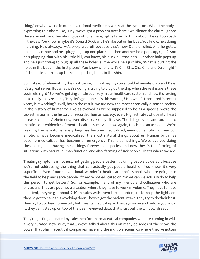thing," or what we do in our conventional medicine is we treat the symptom. When the body's expressing this alarm like, "Hey, we've got a problem over here," we silence the alarm, ignore the alarm until another alarm goes off over here, right? I start to think about the cartoon back in the day. You know, maybe it's Donald Duck and he's like out on his boat. You know, he's doing his thing. He's already... He's pre-pissed off because that's how Donald rolled. And he gets a hole in his canoe and he's plugging it up one place and then another hole pops up, right? And he's plugging that with his little bill, you know, his duck bill that he's... Another hole pops up and he's just trying to plug up all these holes, all the while he's just like, "What is putting the holes in the boat in the first place?" You know who it is, it's Ch... Ch... Ch... Chip and Dale, right? It's the little squirrels up to trouble putting holes in the ship.

So, instead of eliminating the root cause, I'm not saying you should eliminate Chip and Dale, it's a great series. But what we're doing is trying to plug up the ship when the real issue is these squirrels, right? So, we're getting a little squirrely in our healthcare system and now it's forcing us to really analyze it like, "Hey, let's get honest, is this working? Has what's transpired in recent years, is it working?" Well, here's the result, we are now the most chronically diseased society in the history of humanity. Like as evolved as we're supposed to be as a species, we're the sickest nation in the history of recorded human society, ever. Highest rates of obesity, heart disease, cancer, Alzheimer's, liver disease, kidney disease. The list goes on and on, not to mention our epidemics of mental health issues. And now, again, this is not an accident. We're treating the symptoms, everything has become medicalized, even our emotions. Even our emotions have become medicalized, the most natural things about us. Human birth has become medicalized, has become an emergency. This is something... We've evolved doing these things and having these things forever as a species, and now there's this farming of situations with natural human function, and also, farming of sick people. That's where we are.

Treating symptoms is not just, not getting people better, it's killing people by default because we're not addressing the thing that can actually get people healthier. You know, it's very superficial. Even if our conventional, wonderful healthcare professionals who are going into the field to help and serve people, if they're not educated on, "What can we actually do to help this person to get better?" So, for example, many of my friends and colleagues who are physicians, they are put into a situation where they have to work in volume. They have to have a patient, they've got about 7-10 minutes with them tops in order just to keep the lights on, they've got to have this revolving door. They've got the patient intake, they try to do their best, they try to do their homework, but they get caught up in the day-to-day and before you know it, they can't stay up on top of the peer reviewed data, that's just out the window already.

They're getting educated by salesmen for pharmaceutical companies who are coming in with a very curated, new study that... We've talked about this on many episodes of the show, the power that pharmaceutical companies have and the multiple scenarios where they've gotten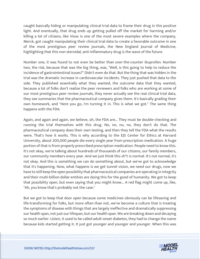caught basically hiding or manipulating clinical trial data to frame their drug in this positive light. And eventually, that drug ends up getting pulled off the market for harming and/or killing a lot of citizens, like Vioxx is one of the most severe examples where the company, Merck, got caught manipulating their clinical trial data to create a favorable outcome in one of the most prestigious peer review journals, the New England Journal of Medicine, highlighting that this non-steroidal, anti-inflammatory drug is the wave of the future.

Number one, it was found to not even be better than over-the-counter ibuprofen. Number two, the risk, because that was the big thing, was, "Well, is this going to help to reduce the incidence of gastrointestinal issues?" Didn't even do that. But the thing that was hidden in the trial was the dramatic increase in cardiovascular incidents. They just pushed that data to the side. They published essentially what they wanted, the outcome data that they wanted, because a lot of folks don't realize the peer reviewers and folks who are working at some of our most prestigious peer review journals, they never actually see the real clinical trial data, they see summaries that the pharmaceutical company gives them. It's basically grading their own homework, and "Here you go, I'm turning it in. This is what we got." The same thing happens with the FDA.

Again, and again and again, we believe, oh, the FDA are... They must be double-checking and running the trial themselves with this drug. No, no, no, no, they don't do that. The pharmaceutical company does their own testing, and then they tell the FDA what the results were. That's how it works. This is why according to the EJS Center for Ethics at Harvard University, about 200,000 people die every single year from prescription medication. A huge portion of that is from properly prescribed prescription medication. People need to know this. It's not okay, we're talking about hundreds of thousands of our citizens, our family members, our community members every year. And we just think this sh\*t is normal. It's not normal, it's not okay. And this is something we can do something about, but we've got to acknowledge that it's happening. Now, what happens is we get tunnel vision, we need our drugs, now we have to still keep the open possibility that pharmaceutical companies are operating in integrity and their multi-billion-dollar entities are doing this for the good of humanity. We got to keep that possibility open, but even saying that you might know... A red flag might come up, like, "Ah, you know that's probably not the case."

But we got to keep that door open because some medicines obviously can be lifesaving and life-transforming for folks, but more often than not, we've become a culture that is treating the symptoms of disease with things that are largely ineffective and dramatically suppressing our health span, not just our lifespan, but our health span. We are breaking down and decaying so much earlier. Listen, it used to be called adult-onset diabetes, they had to change the name because kids started getting it. It just got younger and younger and younger. When this was

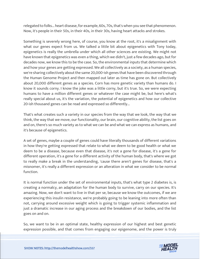relegated to folks... heart disease, for example, 60s, 70s, that's when you see that phenomenon. Now, it's people in their 50s, in their 40s, in their 30s, having heart attacks and strokes.

Something is severely wrong here, of course, you know at the root, it's a misalignment with what our genes expect from us. We talked a little bit about epigenetics with Tony today, epigenetics is really the umbrella under which all other sciences are existing. We might not have known that epigenetics was even a thing, which we didn't, just a few decades ago, but for decades now, we know this to be the case. So, the environmental inputs that determine which and how your genes are getting expressed. We all collectively as a society, as a human species, we're sharing collectively about the same 20,000-ish genes that have been discovered through the Human Genome Project and then mapped out later as time has gone on. But collectively about 20,000 different genes as a species. Corn has more genetic variety than humans do. I know it sounds corny. I know the joke was a little corny, but it's true. So, we were expecting humans to have a million different genes or whatever the case might be, but here's what's really special about us, it's the variation, the potential of epigenetics and how our collective 20-ish thousand genes can be read and expressed so differently...

That's what creates such a variety in our species from the way that we look, the way that we think, the way that we move, our functionality, our brain, our cognitive ability, the list goes on and on, there's so much variety as to what we can be and what we can express as humans, and it's because of epigenetics.

A set of genes, maybe a couple of genes could have literally thousands of different variations in how they're getting expressed that relate to what we deem to be good health or what we deem to be a disease, because even that disease, it's not a gene for disease, it's a gene for different operation, it's a gene for a different activity of the human body, that's where we got to really make a break in the understanding, 'cause there aren't genes for disease, that's a misnomer, it's really a different expression or an alteration in what we consider to be normal function.

It is normal function under the set of environmental inputs, that's what type 2 diabetes is, is creating a normalcy, an adaptation for the human body to survive, carry on our species. It's amazing. Now, we don't want to live in that per se, because we know the outcomes, if we are experiencing this insulin resistance, we're probably going to be leaning into more often than not, carrying around excessive weight which is going to trigger systemic inflammation and just a dramatic increase in our aging process and the breakdown of our bodies, and the list goes on and on.

So, we want to be in an optimal state, healthy expression of our highest and best genetic expression possible, and that comes from engaging our epigenome, and the power is truly

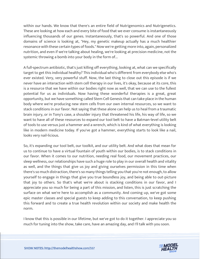within our hands. We know that there's an entire field of Nutrigenomics and Nutrigenetics. These are looking at how each and every bite of food that we ever consume is instantaneously influencing thousands of our genes. Instantaneously, that's so powerful. And one of those domains of science is looking at, "Hey, my genetic makeup actually has a much healthier resonance with these certain types of foods." Now we're getting more into, again, personalized nutrition, and even if we're talking about healing, we're looking at precision medicine, not the systemic throwing a bomb into your body in the form of...

A full-spectrum antibiotic, that's just killing off everything, looking at, what can we specifically target to get this individual healthy? This individual who's different from everybody else who's ever existed. Very, very powerful stuff. Now, the last thing to close out this episode is if we never have an interaction with stem cell therapy in our lives, it's okay, because at its core, this is a resource that we have within our bodies right now as well, that we can use to the fullest potential for us as individuals. Now having these wonderful therapies is a great, great opportunity, but we have something called Stem Cell Genesis that can take place in the human body where we're producing new stem cells from our own internal resources, so we want to stack conditions in our favor. Not saying that these alone can help us to heal from a traumatic brain injury, or in Tony's case, a shoulder injury that threatened his life, his way of life, so we want to have all of these resources to expand our tool belt to have a Batman-level utility belt of tools to use versus just a hammer and a wrench, which is kind of what everything is looking like in modern medicine today. If you've got a hammer, everything starts to look like a nail, looks very nail-licious.

So, it's expanding our tool belt, our toolkit, and our utility belt. And what does that mean for us to continue to have a virtual fountain of youth within our bodies, is to stack conditions in our favor. When it comes to our nutrition, needing real food, our movement practices, our sleep wellness, our relationships have such a huge role to play in our overall health and vitality as well, and the things that give us joy and giving ourselves permission in this time when there's so much distraction, there's so many things telling you that you're not enough, to allow yourself to engage in things that give you true boundless joy, and being able to out-picture that joy to others. So that's what we're about is stacking conditions in our favor, and I appreciate you so much for being a part of this mission, and listen, this is just scratching the surface on what we're here to accomplish as a community. And coming up, we've got some epic master classes and special guests to keep adding to this conversation, to keep pushing this forward and to create a true health revolution within our society and make health the norm.

I know that this is possible in our lifetime, but we've got to do it together. I appreciate you so much for tuning into the show, take care, have an amazing day, and I'll talk with you soon.